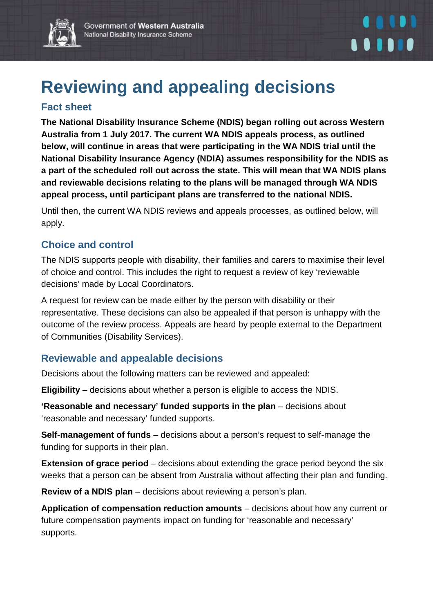



# **Reviewing and appealing decisions**

## **Fact sheet**

**The National Disability Insurance Scheme (NDIS) began rolling out across Western Australia from 1 July 2017. The current WA NDIS appeals process, as outlined below, will continue in areas that were participating in the WA NDIS trial until the National Disability Insurance Agency (NDIA) assumes responsibility for the NDIS as a part of the scheduled roll out across the state. This will mean that WA NDIS plans and reviewable decisions relating to the plans will be managed through WA NDIS appeal process, until participant plans are transferred to the national NDIS.**

Until then, the current WA NDIS reviews and appeals processes, as outlined below, will apply.

## **Choice and control**

The NDIS supports people with disability, their families and carers to maximise their level of choice and control. This includes the right to request a review of key 'reviewable decisions' made by Local Coordinators.

A request for review can be made either by the person with disability or their representative. These decisions can also be appealed if that person is unhappy with the outcome of the review process. Appeals are heard by people external to the Department of Communities (Disability Services).

### **Reviewable and appealable decisions**

Decisions about the following matters can be reviewed and appealed:

**Eligibility** – decisions about whether a person is eligible to access the NDIS.

**'Reasonable and necessary' funded supports in the plan** – decisions about 'reasonable and necessary' funded supports.

**Self-management of funds** – decisions about a person's request to self-manage the funding for supports in their plan.

**Extension of grace period** – decisions about extending the grace period beyond the six weeks that a person can be absent from Australia without affecting their plan and funding.

**Review of a NDIS plan** – decisions about reviewing a person's plan.

**Application of compensation reduction amounts** – decisions about how any current or future compensation payments impact on funding for 'reasonable and necessary' supports.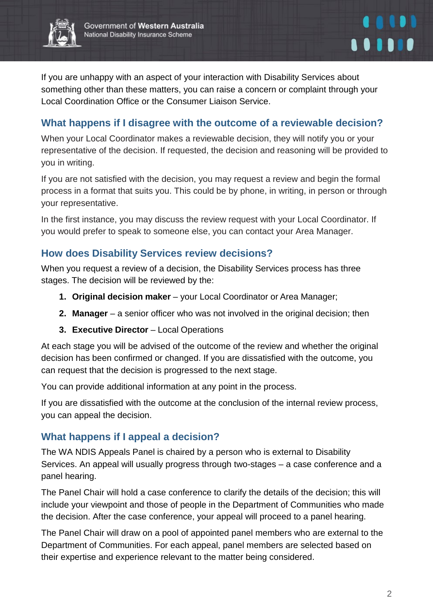

If you are unhappy with an aspect of your interaction with Disability Services about something other than these matters, you can raise a concern or complaint through your Local Coordination Office or the Consumer Liaison Service.

## **What happens if I disagree with the outcome of a reviewable decision?**

When your Local Coordinator makes a reviewable decision, they will notify you or your representative of the decision. If requested, the decision and reasoning will be provided to you in writing.

If you are not satisfied with the decision, you may request a review and begin the formal process in a format that suits you. This could be by phone, in writing, in person or through your representative.

In the first instance, you may discuss the review request with your Local Coordinator. If you would prefer to speak to someone else, you can contact your Area Manager.

#### **How does Disability Services review decisions?**

When you request a review of a decision, the Disability Services process has three stages. The decision will be reviewed by the:

- **1. Original decision maker** your Local Coordinator or Area Manager;
- **2. Manager**  a senior officer who was not involved in the original decision; then
- **3. Executive Director** Local Operations

At each stage you will be advised of the outcome of the review and whether the original decision has been confirmed or changed. If you are dissatisfied with the outcome, you can request that the decision is progressed to the next stage.

You can provide additional information at any point in the process.

If you are dissatisfied with the outcome at the conclusion of the internal review process, you can appeal the decision.

### **What happens if I appeal a decision?**

The WA NDIS Appeals Panel is chaired by a person who is external to Disability Services. An appeal will usually progress through two-stages – a case conference and a panel hearing.

The Panel Chair will hold a case conference to clarify the details of the decision; this will include your viewpoint and those of people in the Department of Communities who made the decision. After the case conference, your appeal will proceed to a panel hearing.

The Panel Chair will draw on a pool of appointed panel members who are external to the Department of Communities. For each appeal, panel members are selected based on their expertise and experience relevant to the matter being considered.

1111

10111